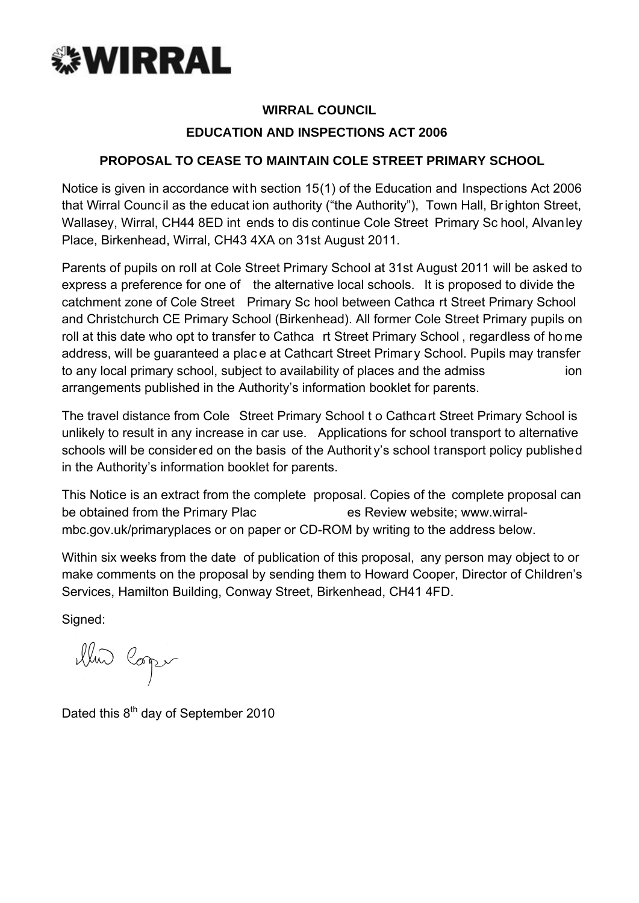

# **WIRRAL COUNCIL**

# **EDUCATION AND INSPECTIONS ACT 2006**

# **PROPOSAL TO CEASE TO MAINTAIN COLE STREET PRIMARY SCHOOL**

Notice is given in accordance with section 15(1) of the Education and Inspections Act 2006 that Wirral Counc il as the educat ion authority ("the Authority"), Town Hall, Br ighton Street, Wallasey, Wirral, CH44 8ED int ends to dis continue Cole Street Primary Sc hool, Alvanley Place, Birkenhead, Wirral, CH43 4XA on 31st August 2011.

Parents of pupils on roll at Cole Street Primary School at 31st August 2011 will be asked to express a preference for one of the alternative local schools. It is proposed to divide the catchment zone of Cole Street Primary Sc hool between Cathca rt Street Primary School and Christchurch CE Primary School (Birkenhead). All former Cole Street Primary pupils on roll at this date who opt to transfer to Cathca rt Street Primary School , regardless of ho me address, will be guaranteed a plac e at Cathcart Street Primar y School. Pupils may transfer to any local primary school, subject to availability of places and the admiss ion arrangements published in the Authority's information booklet for parents.

The travel distance from Cole Street Primary School t o Cathcart Street Primary School is unlikely to result in any increase in car use. Applications for school transport to alternative schools will be consider ed on the basis of the Authority's school transport policy published in the Authority's information booklet for parents.

This Notice is an extract from the complete proposal. Copies of the complete proposal can be obtained from the Primary Plac es Review website; www.wirralmbc.gov.uk/primaryplaces or on paper or CD-ROM by writing to the address below.

Within six weeks from the date of publication of this proposal, any person may object to or make comments on the proposal by sending them to Howard Cooper, Director of Children's Services, Hamilton Building, Conway Street, Birkenhead, CH41 4FD.

Signed:

illui Copi

Dated this 8<sup>th</sup> day of September 2010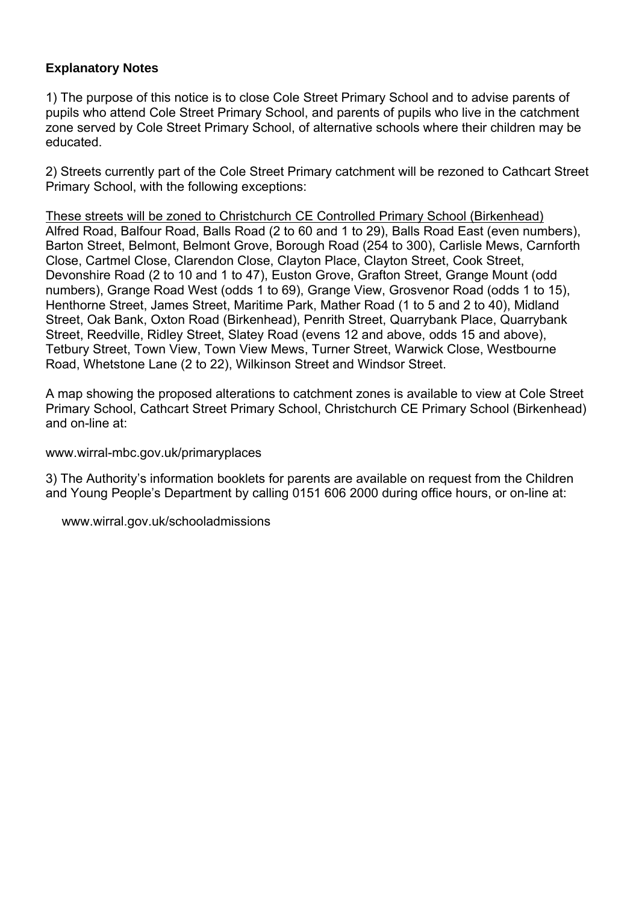# **Explanatory Notes**

1) The purpose of this notice is to close Cole Street Primary School and to advise parents of pupils who attend Cole Street Primary School, and parents of pupils who live in the catchment zone served by Cole Street Primary School, of alternative schools where their children may be educated.

2) Streets currently part of the Cole Street Primary catchment will be rezoned to Cathcart Street Primary School, with the following exceptions:

These streets will be zoned to Christchurch CE Controlled Primary School (Birkenhead) Alfred Road, Balfour Road, Balls Road (2 to 60 and 1 to 29), Balls Road East (even numbers), Barton Street, Belmont, Belmont Grove, Borough Road (254 to 300), Carlisle Mews, Carnforth Close, Cartmel Close, Clarendon Close, Clayton Place, Clayton Street, Cook Street, Devonshire Road (2 to 10 and 1 to 47), Euston Grove, Grafton Street, Grange Mount (odd numbers), Grange Road West (odds 1 to 69), Grange View, Grosvenor Road (odds 1 to 15), Henthorne Street, James Street, Maritime Park, Mather Road (1 to 5 and 2 to 40), Midland Street, Oak Bank, Oxton Road (Birkenhead), Penrith Street, Quarrybank Place, Quarrybank Street, Reedville, Ridley Street, Slatey Road (evens 12 and above, odds 15 and above), Tetbury Street, Town View, Town View Mews, Turner Street, Warwick Close, Westbourne Road, Whetstone Lane (2 to 22), Wilkinson Street and Windsor Street.

A map showing the proposed alterations to catchment zones is available to view at Cole Street Primary School, Cathcart Street Primary School, Christchurch CE Primary School (Birkenhead) and on-line at:

www.wirral-mbc.gov.uk/primaryplaces

3) The Authority's information booklets for parents are available on request from the Children and Young People's Department by calling 0151 606 2000 during office hours, or on-line at:

www.wirral.gov.uk/schooladmissions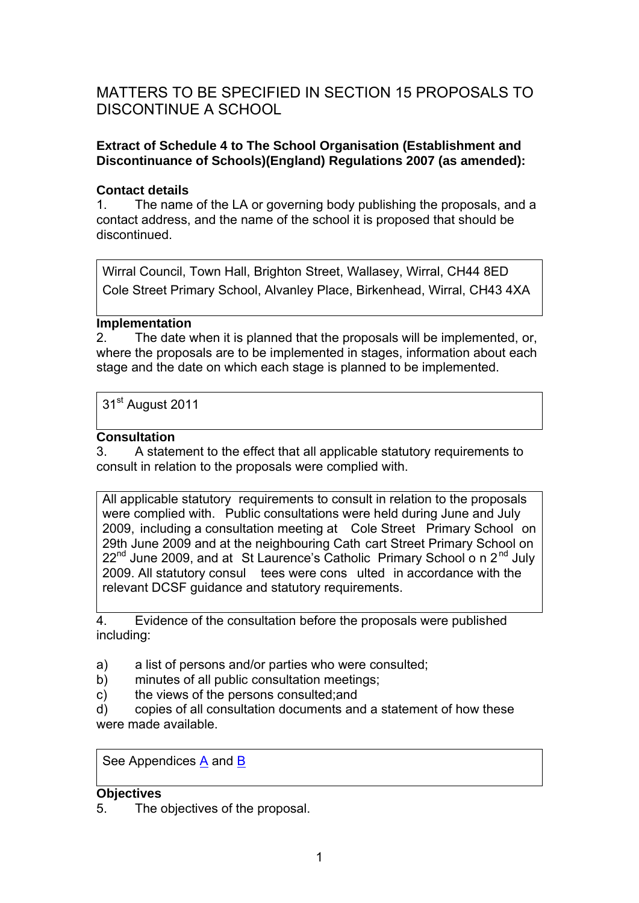# MATTERS TO BE SPECIFIED IN SECTION 15 PROPOSALS TO DISCONTINUE A SCHOOL

# **Extract of Schedule 4 to The School Organisation (Establishment and Discontinuance of Schools)(England) Regulations 2007 (as amended):**

# **Contact details**

1. The name of the LA or governing body publishing the proposals, and a contact address, and the name of the school it is proposed that should be discontinued.

Wirral Council, Town Hall, Brighton Street, Wallasey, Wirral, CH44 8ED Cole Street Primary School, Alvanley Place, Birkenhead, Wirral, CH43 4XA

### **Implementation**

2. The date when it is planned that the proposals will be implemented, or, where the proposals are to be implemented in stages, information about each stage and the date on which each stage is planned to be implemented.

31<sup>st</sup> August 2011

# **Consultation**

3. A statement to the effect that all applicable statutory requirements to consult in relation to the proposals were complied with.

All applicable statutory requirements to consult in relation to the proposals were complied with. Public consultations were held during June and July 2009, including a consultation meeting at Cole Street Primary School on 29th June 2009 and at the neighbouring Cath cart Street Primary School on  $22<sup>nd</sup>$  June 2009, and at St Laurence's Catholic Primary School o n  $2<sup>nd</sup>$  July 2009. All statutory consul tees were cons ulted in accordance with the relevant DCSF guidance and statutory requirements.

4. Evidence of the consultation before the proposals were published including:

- a) a list of persons and/or parties who were consulted;
- b) minutes of all public consultation meetings;
- c) the views of the persons consulted;and

d) copies of all consultation documents and a statement of how these were made available.

See Appendices A and B

### **Objectives**

5. The objectives of the proposal.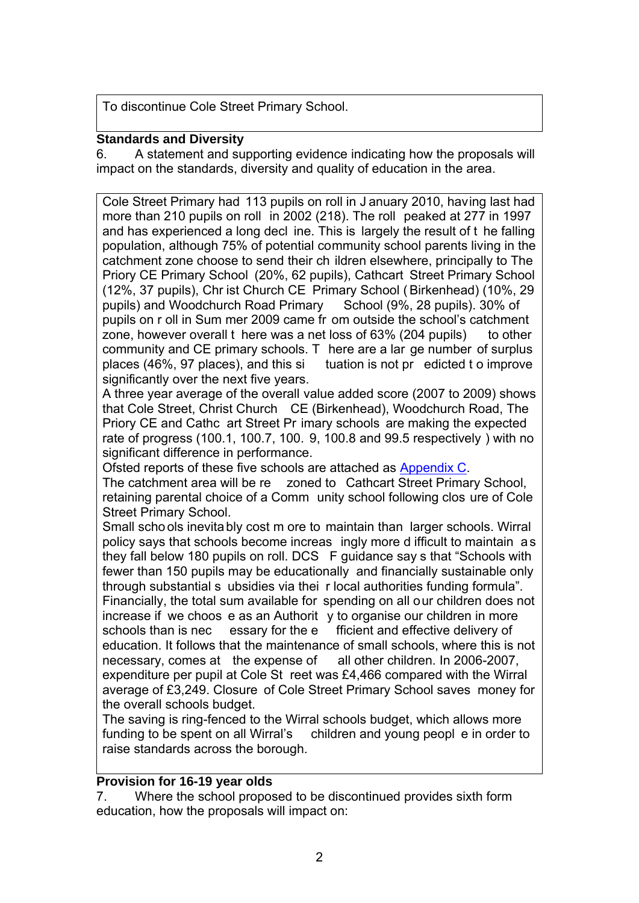To discontinue Cole Street Primary School.

# **Standards and Diversity**

6. A statement and supporting evidence indicating how the proposals will impact on the standards, diversity and quality of education in the area.

Cole Street Primary had 113 pupils on roll in J anuary 2010, having last had more than 210 pupils on roll in 2002 (218). The roll peaked at 277 in 1997 and has experienced a long decl ine. This is largely the result of t he falling population, although 75% of potential community school parents living in the catchment zone choose to send their ch ildren elsewhere, principally to The Priory CE Primary School (20%, 62 pupils), Cathcart Street Primary School (12%, 37 pupils), Chr ist Church CE Primary School ( Birkenhead) (10%, 29 pupils) and Woodchurch Road Primary School (9%, 28 pupils). 30% of pupils on r oll in Sum mer 2009 came fr om outside the school's catchment zone, however overall t here was a net loss of 63% (204 pupils) to other community and CE primary schools. T here are a lar ge number of surplus places (46%, 97 places), and this si tuation is not pr edicted t o improve significantly over the next five years.

A three year average of the overall value added score (2007 to 2009) shows that Cole Street, Christ Church CE (Birkenhead), Woodchurch Road, The Priory CE and Cathc art Street Pr imary schools are making the expected rate of progress (100.1, 100.7, 100. 9, 100.8 and 99.5 respectively ) with no significant difference in performance.

Ofsted reports of these five schools are attached as Appendix C.

The catchment area will be re zoned to Cathcart Street Primary School, retaining parental choice of a Comm unity school following clos ure of Cole Street Primary School.

Small schools inevitably cost m ore to maintain than larger schools. Wirral policy says that schools become increas ingly more d ifficult to maintain as they fall below 180 pupils on roll. DCS F guidance say s that "Schools with fewer than 150 pupils may be educationally and financially sustainable only through substantial s ubsidies via thei r local authorities funding formula". Financially, the total sum available for spending on all our children does not increase if we choos e as an Authorit y to organise our children in more schools than is nec essary for the e fficient and effective delivery of education. It follows that the maintenance of small schools, where this is not necessary, comes at the expense of all other children. In 2006-2007, expenditure per pupil at Cole St reet was £4,466 compared with the Wirral average of £3,249. Closure of Cole Street Primary School saves money for the overall schools budget.

The saving is ring-fenced to the Wirral schools budget, which allows more funding to be spent on all Wirral's children and young peopl e in order to raise standards across the borough.

### **Provision for 16-19 year olds**

7. Where the school proposed to be discontinued provides sixth form education, how the proposals will impact on: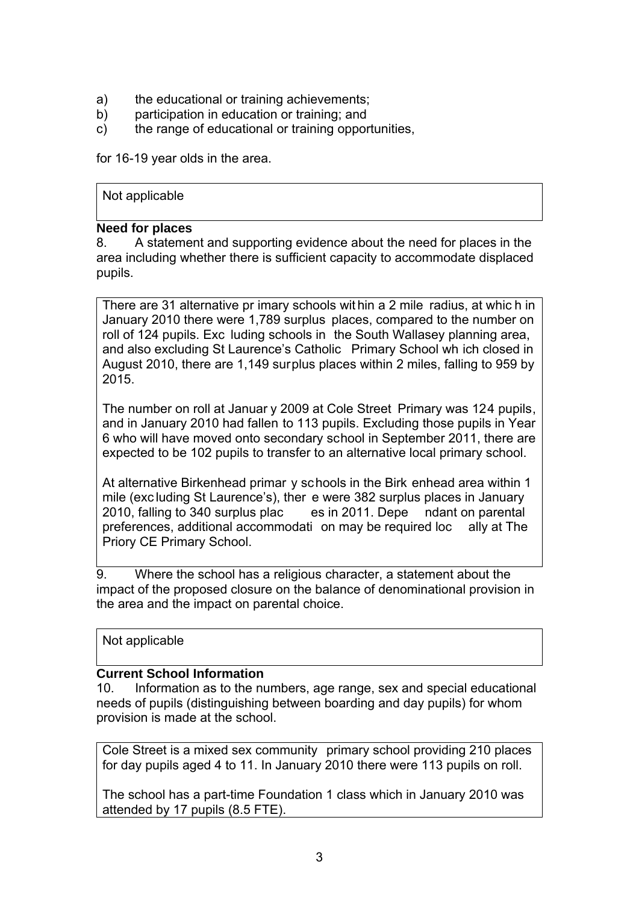- a) the educational or training achievements;
- b) participation in education or training; and
- c) the range of educational or training opportunities,

for 16-19 year olds in the area.

#### Not applicable

### **Need for places**

8. A statement and supporting evidence about the need for places in the area including whether there is sufficient capacity to accommodate displaced pupils.

There are 31 alternative pr imary schools wit hin a 2 mile radius, at whic h in January 2010 there were 1,789 surplus places, compared to the number on roll of 124 pupils. Exc luding schools in the South Wallasey planning area, and also excluding St Laurence's Catholic Primary School wh ich closed in August 2010, there are 1,149 surplus places within 2 miles, falling to 959 by 2015.

The number on roll at Januar y 2009 at Cole Street Primary was 124 pupils, and in January 2010 had fallen to 113 pupils. Excluding those pupils in Year 6 who will have moved onto secondary school in September 2011, there are expected to be 102 pupils to transfer to an alternative local primary school.

At alternative Birkenhead primar y schools in the Birk enhead area within 1 mile (exc luding St Laurence's), ther e were 382 surplus places in January 2010, falling to 340 surplus plac es in 2011. Depe ndant on parental preferences, additional accommodati on may be required loc ally at The Priory CE Primary School.

9. Where the school has a religious character, a statement about the impact of the proposed closure on the balance of denominational provision in the area and the impact on parental choice.

Not applicable

### **Current School Information**

10. Information as to the numbers, age range, sex and special educational needs of pupils (distinguishing between boarding and day pupils) for whom provision is made at the school.

Cole Street is a mixed sex community primary school providing 210 places for day pupils aged 4 to 11. In January 2010 there were 113 pupils on roll.

The school has a part-time Foundation 1 class which in January 2010 was attended by 17 pupils (8.5 FTE).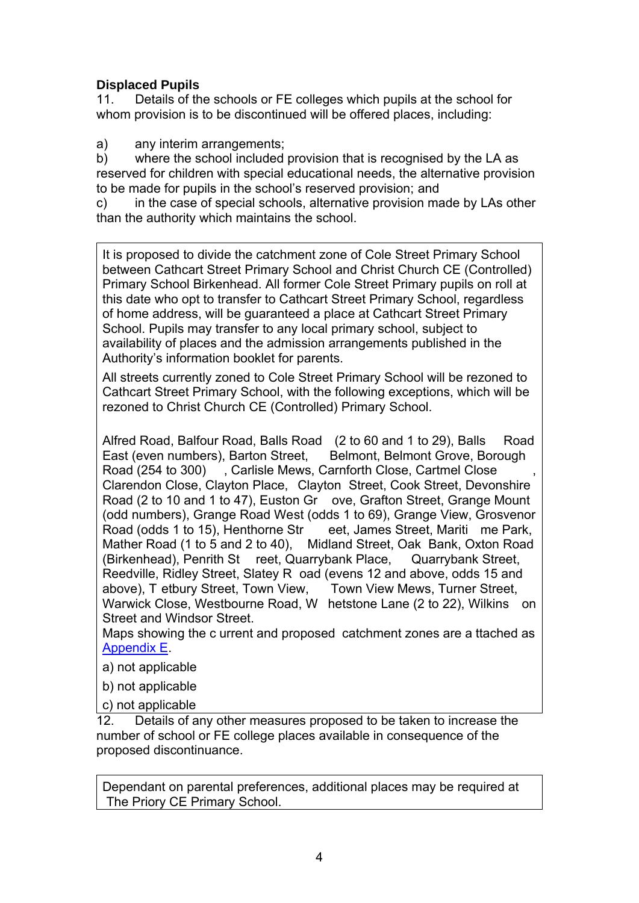# **Displaced Pupils**

11. Details of the schools or FE colleges which pupils at the school for whom provision is to be discontinued will be offered places, including:

a) any interim arrangements;

b) where the school included provision that is recognised by the LA as reserved for children with special educational needs, the alternative provision to be made for pupils in the school's reserved provision; and

c) in the case of special schools, alternative provision made by LAs other than the authority which maintains the school.

It is proposed to divide the catchment zone of Cole Street Primary School between Cathcart Street Primary School and Christ Church CE (Controlled) Primary School Birkenhead. All former Cole Street Primary pupils on roll at this date who opt to transfer to Cathcart Street Primary School, regardless of home address, will be guaranteed a place at Cathcart Street Primary School. Pupils may transfer to any local primary school, subject to availability of places and the admission arrangements published in the Authority's information booklet for parents.

All streets currently zoned to Cole Street Primary School will be rezoned to Cathcart Street Primary School, with the following exceptions, which will be rezoned to Christ Church CE (Controlled) Primary School.

Alfred Road, Balfour Road, Balls Road (2 to 60 and 1 to 29), Balls Road East (even numbers), Barton Street, Belmont, Belmont Grove, Borough Road (254 to 300) , Carlisle Mews, Carnforth Close, Cartmel Close Clarendon Close, Clayton Place, Clayton Street, Cook Street, Devonshire Road (2 to 10 and 1 to 47), Euston Gr ove, Grafton Street, Grange Mount (odd numbers), Grange Road West (odds 1 to 69), Grange View, Grosvenor Road (odds 1 to 15), Henthorne Str eet, James Street, Mariti me Park, Mather Road (1 to 5 and 2 to 40), Midland Street, Oak Bank, Oxton Road (Birkenhead), Penrith St reet, Quarrybank Place, Quarrybank Street, Reedville, Ridley Street, Slatey R oad (evens 12 and above, odds 15 and above), T etbury Street, Town View, Town View Mews, Turner Street, Warwick Close, Westbourne Road, W hetstone Lane (2 to 22), Wilkins on Street and Windsor Street.

Maps showing the c urrent and proposed catchment zones are a ttached as Appendix E.

a) not applicable

b) not applicable

c) not applicable

12. Details of any other measures proposed to be taken to increase the number of school or FE college places available in consequence of the proposed discontinuance.

Dependant on parental preferences, additional places may be required at The Priory CE Primary School.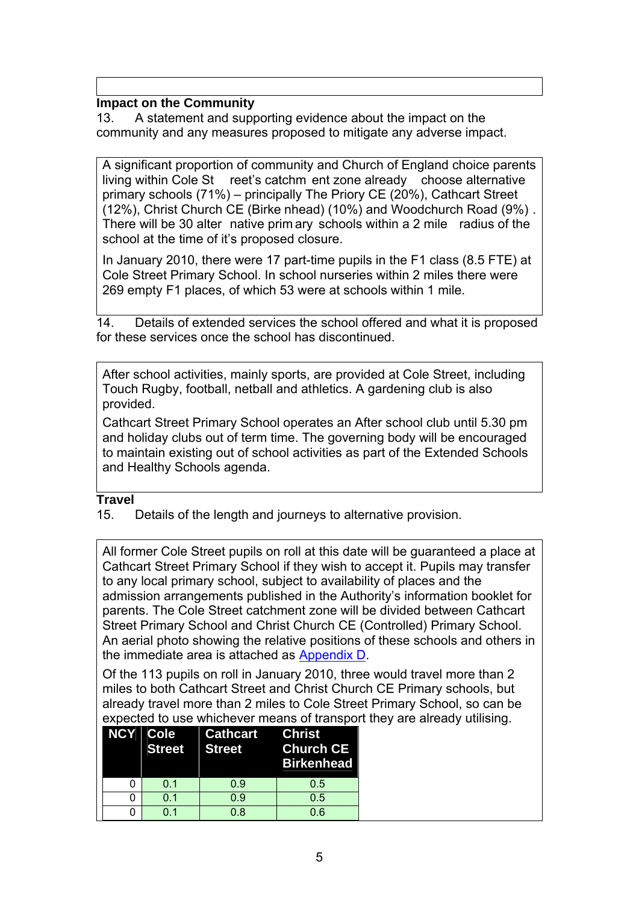# **Impact on the Community**

13. A statement and supporting evidence about the impact on the community and any measures proposed to mitigate any adverse impact.

A significant proportion of community and Church of England choice parents living within Cole St reet's catchm ent zone already choose alternative primary schools (71%) – principally The Priory CE (20%), Cathcart Street (12%), Christ Church CE (Birke nhead) (10%) and Woodchurch Road (9%) . There will be 30 alter native prim ary schools within a 2 mile radius of the school at the time of it's proposed closure.

In January 2010, there were 17 part-time pupils in the F1 class (8.5 FTE) at Cole Street Primary School. In school nurseries within 2 miles there were 269 empty F1 places, of which 53 were at schools within 1 mile.

14. Details of extended services the school offered and what it is proposed for these services once the school has discontinued.

After school activities, mainly sports, are provided at Cole Street, including Touch Rugby, football, netball and athletics. A gardening club is also provided.

Cathcart Street Primary School operates an After school club until 5.30 pm and holiday clubs out of term time. The governing body will be encouraged to maintain existing out of school activities as part of the Extended Schools and Healthy Schools agenda.

### **Travel**

15. Details of the length and journeys to alternative provision.

All former Cole Street pupils on roll at this date will be guaranteed a place at Cathcart Street Primary School if they wish to accept it. Pupils may transfer to any local primary school, subject to availability of places and the admission arrangements published in the Authority's information booklet for parents. The Cole Street catchment zone will be divided between Cathcart Street Primary School and Christ Church CE (Controlled) Primary School. An aerial photo showing the relative positions of these schools and others in the immediate area is attached as Appendix D.

Of the 113 pupils on roll in January 2010, three would travel more than 2 miles to both Cathcart Street and Christ Church CE Primary schools, but already travel more than 2 miles to Cole Street Primary School, so can be expected to use whichever means of transport they are already utilising.

|     | NCY Cole Cathcart Christ<br>Street Street | <b>Church CE</b><br><b>Birkenhead</b> |
|-----|-------------------------------------------|---------------------------------------|
| O 1 | 0.9                                       | 0.5                                   |
| 0.1 | 0.9                                       | 0.5                                   |
| በ 1 | ი გ                                       | 06                                    |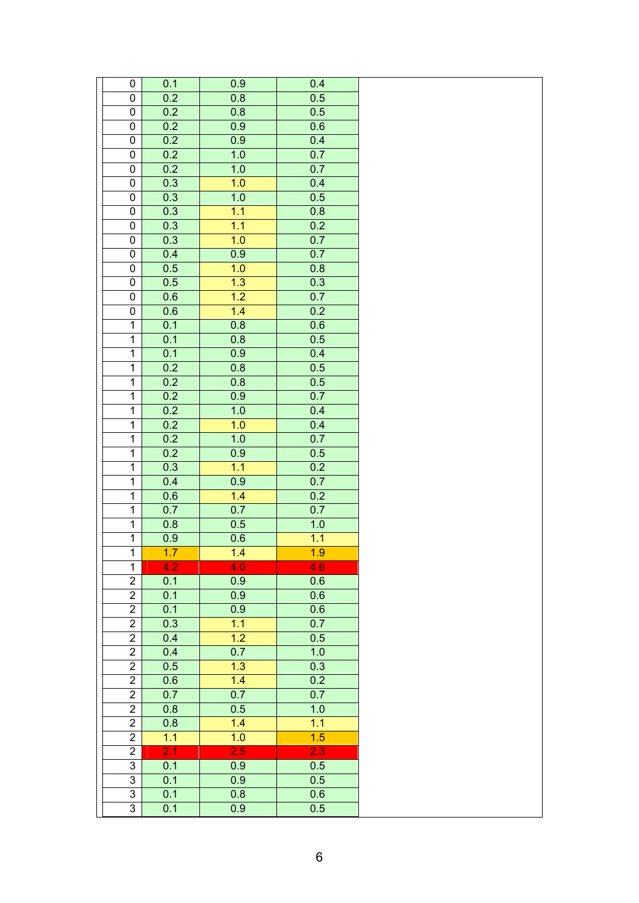| 0                                | 0.1                     | 0.9              | 0.4        |  |
|----------------------------------|-------------------------|------------------|------------|--|
| $\pmb{0}$                        | 0.2                     | 0.8<br>0.8       | 0.5        |  |
| $\pmb{0}$                        | 0.2                     |                  | 0.5<br>0.6 |  |
| 0                                | 0.2<br>0.2              | 0.9<br>0.9       |            |  |
| $\pmb{0}$                        | 0.2                     | 1.0              | 0.4<br>0.7 |  |
| $\pmb{0}$<br>$\pmb{0}$           | 0.2                     | 1.0              | 0.7        |  |
| $\pmb{0}$                        | 0.3                     | 1.0              | 0.4        |  |
| $\pmb{0}$                        | 0.3                     | 1.0              | 0.5        |  |
| $\overline{0}$                   | 0.3                     | 1.1              | 0.8        |  |
| 0                                | 0.3                     | 1.1              | 0.2        |  |
| $\pmb{0}$                        | 0.3                     | 1.0              | 0.7        |  |
| $\pmb{0}$                        | 0.4                     | 0.9              | 0.7        |  |
| $\pmb{0}$                        | 0.5                     | 1.0              | 0.8        |  |
| $\pmb{0}$                        | 0.5                     | 1.3              | 0.3        |  |
| $\pmb{0}$                        | 0.6                     | $\overline{1.2}$ | 0.7        |  |
| $\pmb{0}$                        | 0.6                     | 1.4              | 0.2        |  |
| $\mathbf 1$                      | 0.1                     | 0.8              | 0.6        |  |
| $\overline{1}$                   | 0.1                     | 0.8              | 0.5        |  |
| $\overline{1}$                   | 0.1                     | 0.9              | 0.4        |  |
| $\mathbf{1}$                     | 0.2                     | 0.8              | 0.5        |  |
| $\overline{1}$                   | 0.2                     | 0.8              | 0.5        |  |
| $\mathbf 1$                      | 0.2                     | 0.9              | 0.7        |  |
| $\mathbf{1}$                     | 0.2                     | 1.0              | 0.4        |  |
| $\mathbf 1$                      | 0.2                     | 1.0              | 0.4        |  |
| $\mathbf{1}$                     | 0.2                     | 1.0              | 0.7        |  |
| $\overline{1}$                   | 0.2                     | 0.9              | 0.5        |  |
| $\mathbf{1}$                     | 0.3                     | 1.1              | 0.2        |  |
| $\mathbf{1}$                     | 0.4                     | 0.9              | 0.7        |  |
| $\mathbf{1}$                     | 0.6                     | 1.4              | 0.2        |  |
| $\mathbf{1}$                     | 0.7                     | 0.7              | 0.7        |  |
| $\mathbf{1}$                     | 0.8                     | 0.5              | $1.0$      |  |
| $\mathbf{1}$                     | 0.9                     | 0.6              | 1.1        |  |
| $\overline{1}$                   | 1.7                     | 1.4              | 1.9        |  |
| $\mathbf{1}$                     | 4.2                     | 4.0              | 4.6        |  |
| $\overline{2}$                   | 0.1                     | 0.9              | 0.6        |  |
| $\overline{2}$                   | 0.1                     | 0.9              | 0.6        |  |
| $\overline{c}$                   | 0.1                     | 0.9              | 0.6        |  |
| $\overline{2}$                   | 0.3                     | 1.1              | 0.7        |  |
| $\overline{2}$                   | 0.4                     | 1.2              | 0.5        |  |
| $\overline{2}$                   | 0.4                     | 0.7              | 1.0        |  |
| $\overline{2}$                   | 0.5                     | 1.3              | 0.3        |  |
| $\overline{2}$                   | 0.6                     | 1.4              | 0.2        |  |
| $\overline{2}$                   | 0.7                     | 0.7              | 0.7        |  |
| $\overline{2}$                   | 0.8                     | 0.5              | 1.0        |  |
| $\overline{2}$                   | 0.8                     | 1.4              | 1.1        |  |
| $\overline{c}$                   | 1.1<br>$\overline{2.1}$ | 1.0<br>2.5       | 1.5        |  |
| $\overline{2}$<br>$\overline{3}$ | 0.1                     | 0.9              | 2.3<br>0.5 |  |
| $\mathfrak{S}$                   | 0.1                     | 0.9              | 0.5        |  |
| $\overline{3}$                   | 0.1                     | 0.8              | 0.6        |  |
| $\overline{3}$                   | 0.1                     | $\overline{0.9}$ | 0.5        |  |
|                                  |                         |                  |            |  |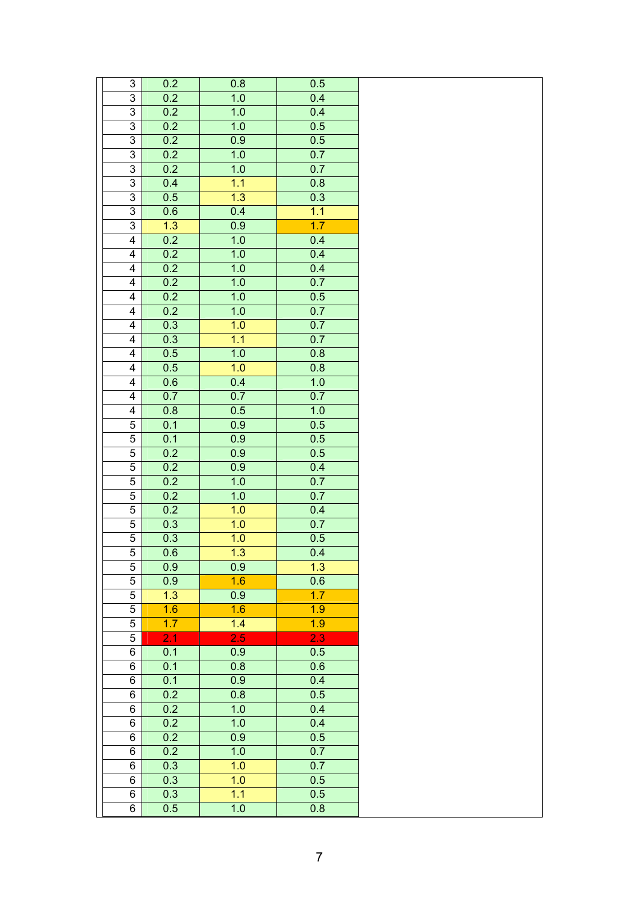| $\ensuremath{\mathsf{3}}$ | 0.2              | 0.8              | 0.5 |  |
|---------------------------|------------------|------------------|-----|--|
| $\overline{3}$            | 0.2              | 1.0              | 0.4 |  |
| $\overline{3}$            | 0.2              | 1.0              | 0.4 |  |
| $\overline{\omega}$       | 0.2              | 1.0              | 0.5 |  |
| $\overline{3}$            | 0.2              | 0.9              | 0.5 |  |
| $\overline{3}$            | 0.2              | 1.0              | 0.7 |  |
| $\overline{3}$            | 0.2              | 1.0              | 0.7 |  |
| 3                         | 0.4              | 1.1              | 0.8 |  |
| $\overline{3}$            | 0.5              | 1.3              | 0.3 |  |
| $\overline{3}$            | 0.6              | 0.4              | 1.1 |  |
| 3                         | 1.3              | 0.9              | 1.7 |  |
| $\overline{\mathbf{4}}$   | 0.2              | 1.0              | 0.4 |  |
| $\overline{\mathbf{4}}$   | 0.2              | 1.0              | 0.4 |  |
| $\overline{\mathbf{4}}$   | 0.2              | 1.0              | 0.4 |  |
| $\overline{\mathbf{4}}$   | 0.2              | 1.0              | 0.7 |  |
| 4                         | 0.2              | 1.0              | 0.5 |  |
| 4                         | 0.2              | 1.0              | 0.7 |  |
| $\overline{\mathbf{4}}$   | 0.3              | 1.0              | 0.7 |  |
| 4                         | 0.3              | 1.1              | 0.7 |  |
| 4                         | 0.5              | 1.0              | 0.8 |  |
| 4                         | 0.5              | 1.0              | 0.8 |  |
| $\overline{\mathbf{4}}$   | 0.6              | 0.4              | 1.0 |  |
| $\overline{\mathbf{4}}$   | 0.7              | 0.7              | 0.7 |  |
| $\overline{\mathbf{4}}$   | 0.8              | 0.5              | 1.0 |  |
| $\mathbf 5$               | 0.1              | 0.9              | 0.5 |  |
| $\mathbf 5$               | 0.1              | 0.9              | 0.5 |  |
| $\sqrt{5}$                | 0.2              | 0.9              | 0.5 |  |
| $\overline{5}$            | 0.2              | $\overline{0.9}$ | 0.4 |  |
| $\overline{5}$            | 0.2              | 1.0              | 0.7 |  |
| 5                         | 0.2              | 1.0              | 0.7 |  |
| $\mathbf 5$               | 0.2              | 1.0              | 0.4 |  |
| $\mathbf 5$               | 0.3              | 1.0              | 0.7 |  |
| $\overline{5}$            | 0.3              | 1.0              | 0.5 |  |
| 5                         | 0.6              | 1.3              | 0.4 |  |
| 5                         | 0.9              | 0.9              | 1.3 |  |
| $\,$ 5 $\,$               | 0.9              | 1.6              | 0.6 |  |
| $\overline{5}$            | 1.3              | 0.9              | 1.7 |  |
| $\,$ 5 $\,$               | 1.6              | 1.6              | 1.9 |  |
| $\mathbf 5$               | 1.7              | 1.4              | 1.9 |  |
| 5                         | $\overline{2.1}$ | 2.5              | 2.3 |  |
| 6                         | 0.1              | 0.9              | 0.5 |  |
| 6                         | 0.1              | 0.8              | 0.6 |  |
| $\overline{6}$            | 0.1              | 0.9              | 0.4 |  |
| 6                         | 0.2              | 0.8              | 0.5 |  |
| $\,6\,$                   | 0.2              | 1.0              | 0.4 |  |
| $\overline{6}$            | 0.2              | 1.0              | 0.4 |  |
| 6                         | 0.2              | 0.9              | 0.5 |  |
| $\,6\,$                   | 0.2              | 1.0              | 0.7 |  |
| $\,6$                     | 0.3              | 1.0              | 0.7 |  |
| $\,6\,$                   | 0.3              | 1.0              | 0.5 |  |
| $\,6\,$                   | 0.3              | 1.1              | 0.5 |  |
| 6                         | 0.5              | 1.0              | 0.8 |  |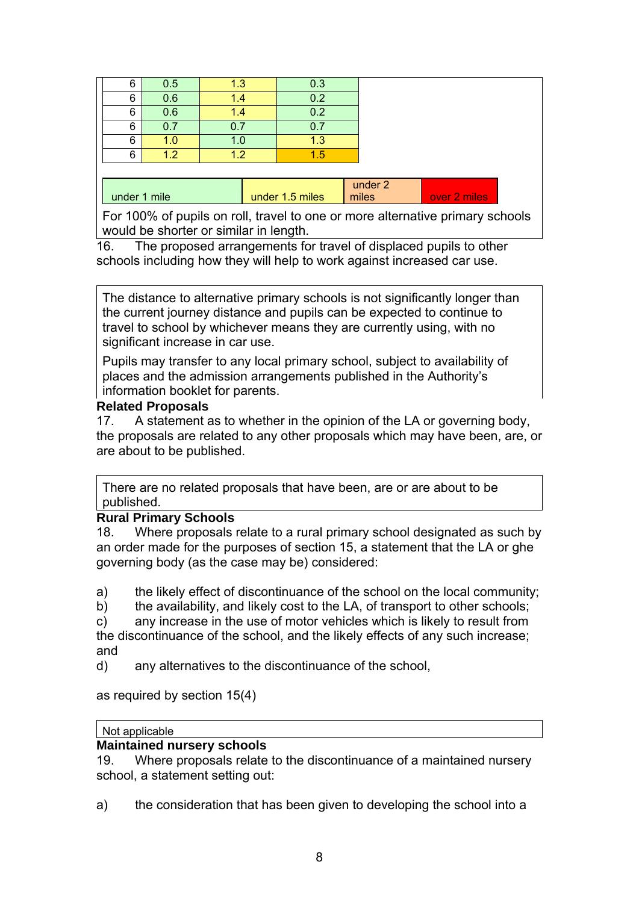| 6            | 0.5 | 1.3 | 0.3             |         |              |
|--------------|-----|-----|-----------------|---------|--------------|
| 6            | 0.6 | 1.4 | 0.2             |         |              |
| 6            | 0.6 | 1.4 | 0.2             |         |              |
| 6            | 0.7 | 0.7 | 0.7             |         |              |
| 6            | 1.0 | 1.0 | 1.3             |         |              |
| 6            | 1.2 | 1.2 | 1.5             |         |              |
|              |     |     |                 |         |              |
|              |     |     |                 | under 2 |              |
| under 1 mile |     |     | under 1.5 miles | miles   | over 2 miles |

For 100% of pupils on roll, travel to one or more alternative primary schools would be shorter or similar in length.

16. The proposed arrangements for travel of displaced pupils to other schools including how they will help to work against increased car use.

The distance to alternative primary schools is not significantly longer than the current journey distance and pupils can be expected to continue to travel to school by whichever means they are currently using, with no significant increase in car use.

Pupils may transfer to any local primary school, subject to availability of places and the admission arrangements published in the Authority's information booklet for parents.

### **Related Proposals**

17. A statement as to whether in the opinion of the LA or governing body, the proposals are related to any other proposals which may have been, are, or are about to be published.

There are no related proposals that have been, are or are about to be published.

### **Rural Primary Schools**

18. Where proposals relate to a rural primary school designated as such by an order made for the purposes of section 15, a statement that the LA or ghe governing body (as the case may be) considered:

a) the likely effect of discontinuance of the school on the local community;

b) the availability, and likely cost to the LA, of transport to other schools;

c) any increase in the use of motor vehicles which is likely to result from the discontinuance of the school, and the likely effects of any such increase; and

d) any alternatives to the discontinuance of the school,

as required by section 15(4)

### Not applicable

# **Maintained nursery schools**

19. Where proposals relate to the discontinuance of a maintained nursery school, a statement setting out:

a) the consideration that has been given to developing the school into a